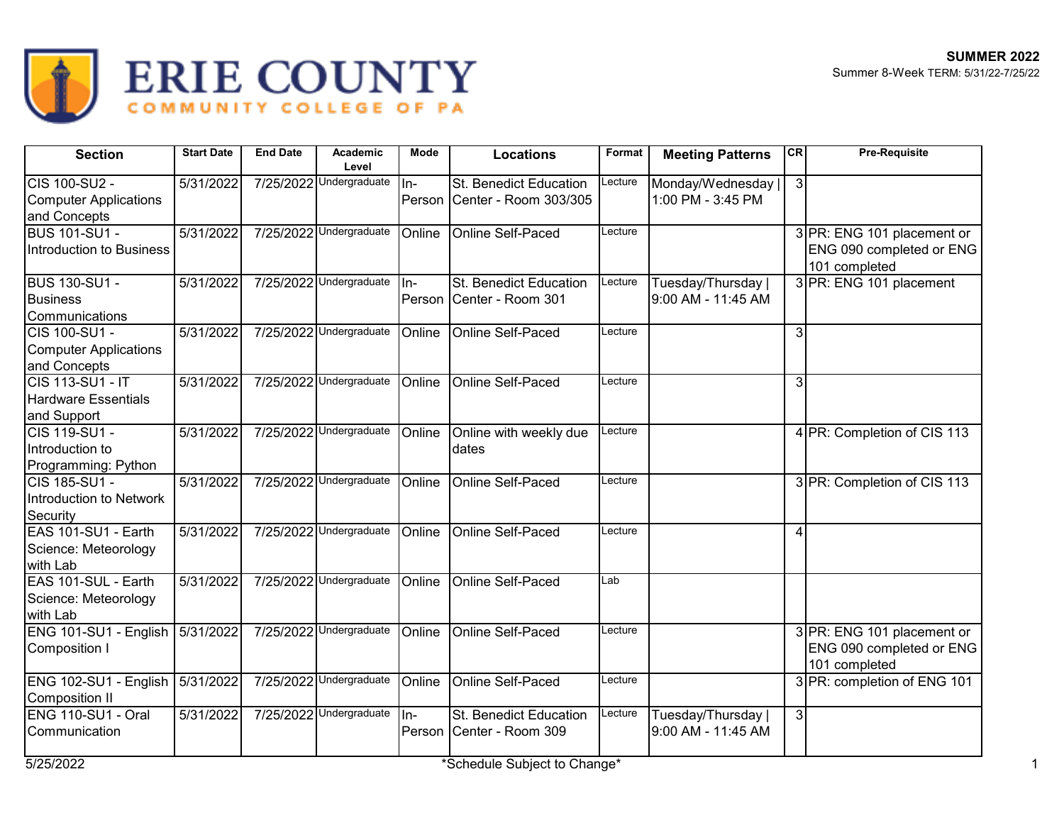

## ERIE COUNTY

| <b>Section</b>                    | <b>Start Date</b>      | <b>End Date</b> | Academic<br>Level       | Mode   | <b>Locations</b>             | Format  | <b>Meeting Patterns</b> | <b>CR</b>      | <b>Pre-Requisite</b>                      |
|-----------------------------------|------------------------|-----------------|-------------------------|--------|------------------------------|---------|-------------------------|----------------|-------------------------------------------|
| <b>CIS 100-SU2 -</b>              | $\overline{5/31/2022}$ |                 | 7/25/2022 Undergraduate | $In-$  | St. Benedict Education       | Lecture | Monday/Wednesday        | $\overline{3}$ |                                           |
| <b>Computer Applications</b>      |                        |                 |                         |        | Person Center - Room 303/305 |         | 1:00 PM - 3:45 PM       |                |                                           |
| and Concepts                      |                        |                 |                         |        |                              |         |                         |                |                                           |
| <b>BUS 101-SU1 -</b>              | $\sqrt{5/31/20}$ 22    |                 | 7/25/2022 Undergraduate | Online | Online Self-Paced            | Lecture |                         |                | 3 PR: ENG 101 placement or                |
| Introduction to Business          |                        |                 |                         |        |                              |         |                         |                | ENG 090 completed or ENG                  |
|                                   |                        |                 |                         |        |                              |         |                         |                | 101 completed                             |
| <b>BUS 130-SU1 -</b>              | 5/31/2022              |                 | 7/25/2022 Undergraduate | ln-    | St. Benedict Education       | Lecture | Tuesday/Thursday        |                | 3 PR: ENG 101 placement                   |
| <b>Business</b>                   |                        |                 |                         |        | Person Center - Room 301     |         | 9:00 AM - 11:45 AM      |                |                                           |
| Communications                    |                        |                 |                         |        |                              |         |                         |                |                                           |
| CIS 100-SU1 -                     | 5/31/2022              |                 | 7/25/2022 Undergraduate | Online | Online Self-Paced            | Lecture |                         | 3              |                                           |
| <b>Computer Applications</b>      |                        |                 |                         |        |                              |         |                         |                |                                           |
| and Concepts                      |                        |                 |                         |        |                              |         |                         |                |                                           |
| CIS 113-SU1 - IT                  | 5/31/2022              |                 | 7/25/2022 Undergraduate | Online | Online Self-Paced            | Lecture |                         | 3              |                                           |
| <b>Hardware Essentials</b>        |                        |                 |                         |        |                              |         |                         |                |                                           |
| and Support                       |                        |                 |                         |        |                              |         |                         |                |                                           |
| CIS 119-SU1 -                     | 5/31/2022              |                 | 7/25/2022 Undergraduate | Online | Online with weekly due       | Lecture |                         |                | 4 PR: Completion of CIS 113               |
| Introduction to                   |                        |                 |                         |        | dates                        |         |                         |                |                                           |
| Programming: Python               |                        |                 |                         |        |                              |         |                         |                |                                           |
| CIS 185-SU1 -                     | $\overline{5/31/2022}$ |                 | 7/25/2022 Undergraduate | Online | Online Self-Paced            | Lecture |                         |                | 3 PR: Completion of CIS 113               |
| Introduction to Network           |                        |                 |                         |        |                              |         |                         |                |                                           |
| Security                          |                        |                 |                         |        |                              |         |                         |                |                                           |
| EAS 101-SU1 - Earth               | 5/31/2022              |                 | 7/25/2022 Undergraduate | Online | Online Self-Paced            | _ecture |                         | 4              |                                           |
| Science: Meteorology              |                        |                 |                         |        |                              |         |                         |                |                                           |
| with Lab                          |                        |                 |                         |        |                              |         |                         |                |                                           |
| EAS 101-SUL - Earth               | 5/31/2022              |                 | 7/25/2022 Undergraduate | Online | Online Self-Paced            | Lab     |                         |                |                                           |
| Science: Meteorology              |                        |                 |                         |        |                              |         |                         |                |                                           |
| with Lab                          |                        |                 |                         |        |                              |         |                         |                |                                           |
| ENG 101-SU1 - English 5/31/2022   |                        |                 | 7/25/2022 Undergraduate | Online | Online Self-Paced            | Lecture |                         |                | 3 PR: ENG 101 placement or                |
| Composition I                     |                        |                 |                         |        |                              |         |                         |                | ENG 090 completed or ENG<br>101 completed |
| ENG 102-SU1 - English   5/31/2022 |                        |                 | 7/25/2022 Undergraduate | Online | Online Self-Paced            | Lecture |                         |                | 3 PR: completion of ENG 101               |
| Composition II                    |                        |                 |                         |        |                              |         |                         |                |                                           |
| ENG 110-SU1 - Oral                | 5/31/2022              |                 | 7/25/2022 Undergraduate | ln-    | St. Benedict Education       | Lecture | Tuesday/Thursday        | 3              |                                           |
| Communication                     |                        |                 |                         |        | Person Center - Room 309     |         | 9:00 AM - 11:45 AM      |                |                                           |
| 5/25/2022                         |                        |                 |                         |        | *Schedule Subject to Change* |         |                         |                |                                           |